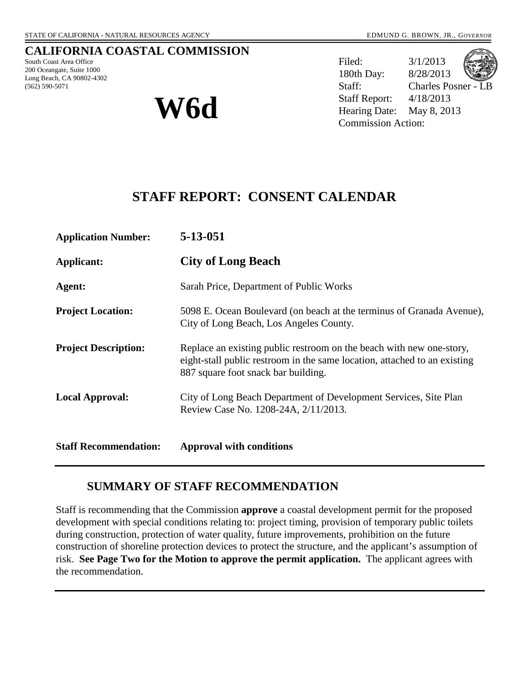## **CALIFORNIA COASTAL COMMISSION**

South Coast Area Office 200 Oceangate, Suite 1000 Long Beach, CA 90802-4302 (562) 590-5071



Filed: 3/1/2013 180th Day: 8/28/2013 Staff: Charles Posner - LB Staff Report: 4/18/2013 M6d<br>Rearing Date: May 8, 2013 Commission Action:

# **STAFF REPORT: CONSENT CALENDAR**

| <b>Application Number:</b>   | 5-13-051                                                                                                                                                                                 |
|------------------------------|------------------------------------------------------------------------------------------------------------------------------------------------------------------------------------------|
| <b>Applicant:</b>            | <b>City of Long Beach</b>                                                                                                                                                                |
| Agent:                       | Sarah Price, Department of Public Works                                                                                                                                                  |
| <b>Project Location:</b>     | 5098 E. Ocean Boulevard (on beach at the terminus of Granada Avenue),<br>City of Long Beach, Los Angeles County.                                                                         |
| <b>Project Description:</b>  | Replace an existing public restroom on the beach with new one-story,<br>eight-stall public restroom in the same location, attached to an existing<br>887 square foot snack bar building. |
| <b>Local Approval:</b>       | City of Long Beach Department of Development Services, Site Plan<br>Review Case No. 1208-24A, 2/11/2013.                                                                                 |
| <b>Staff Recommendation:</b> | <b>Approval with conditions</b>                                                                                                                                                          |

# **SUMMARY OF STAFF RECOMMENDATION**

Staff is recommending that the Commission **approve** a coastal development permit for the proposed development with special conditions relating to: project timing, provision of temporary public toilets during construction, protection of water quality, future improvements, prohibition on the future construction of shoreline protection devices to protect the structure, and the applicant's assumption of risk. **See Page Two for the Motion to approve the permit application.** The applicant agrees with the recommendation.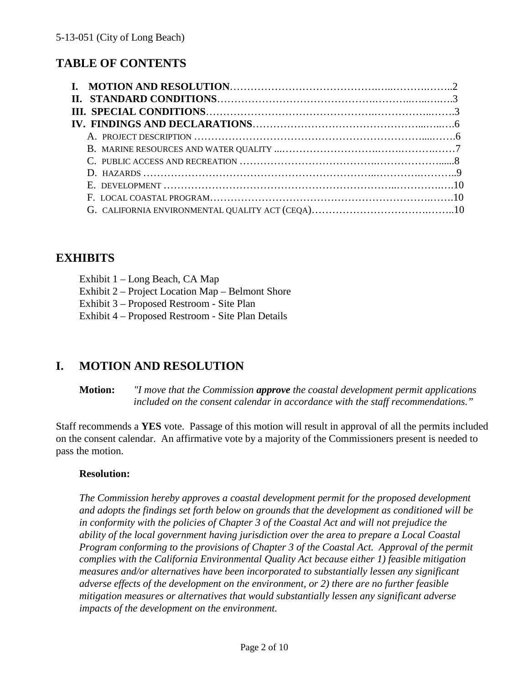# **TABLE OF CONTENTS**

| E. DEVELOPMENT $\ldots$ $\ldots$ $\ldots$ $\ldots$ $\ldots$ $\ldots$ $\ldots$ $\ldots$ $\ldots$ $\ldots$ $\ldots$ $\ldots$ $\ldots$ $\ldots$ $\ldots$ |  |
|-------------------------------------------------------------------------------------------------------------------------------------------------------|--|
|                                                                                                                                                       |  |
|                                                                                                                                                       |  |

# **EXHIBITS**

Exhibit 2 – Project Location Map – Belmont Shore

Exhibit 3 – Proposed Restroom - Site Plan

Exhibit 4 – Proposed Restroom - Site Plan Details

# **I. MOTION AND RESOLUTION**

**Motion:** *"I move that the Commission approve the coastal development permit applications included on the consent calendar in accordance with the staff recommendations."*

Staff recommends a **YES** vote. Passage of this motion will result in approval of all the permits included on the consent calendar. An affirmative vote by a majority of the Commissioners present is needed to pass the motion.

#### **Resolution:**

*The Commission hereby approves a coastal development permit for the proposed development and adopts the findings set forth below on grounds that the development as conditioned will be in conformity with the policies of Chapter 3 of the Coastal Act and will not prejudice the ability of the local government having jurisdiction over the area to prepare a Local Coastal Program conforming to the provisions of Chapter 3 of the Coastal Act. Approval of the permit complies with the California Environmental Quality Act because either 1) feasible mitigation measures and/or alternatives have been incorporated to substantially lessen any significant adverse effects of the development on the environment, or 2) there are no further feasible mitigation measures or alternatives that would substantially lessen any significant adverse impacts of the development on the environment.*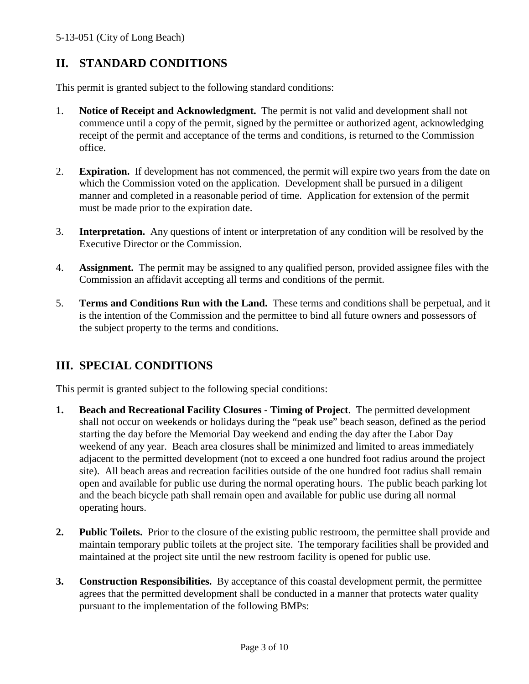# **II. STANDARD CONDITIONS**

This permit is granted subject to the following standard conditions:

- 1. **Notice of Receipt and Acknowledgment.** The permit is not valid and development shall not commence until a copy of the permit, signed by the permittee or authorized agent, acknowledging receipt of the permit and acceptance of the terms and conditions, is returned to the Commission office.
- 2. **Expiration.** If development has not commenced, the permit will expire two years from the date on which the Commission voted on the application. Development shall be pursued in a diligent manner and completed in a reasonable period of time. Application for extension of the permit must be made prior to the expiration date.
- 3. **Interpretation.** Any questions of intent or interpretation of any condition will be resolved by the Executive Director or the Commission.
- 4. **Assignment.** The permit may be assigned to any qualified person, provided assignee files with the Commission an affidavit accepting all terms and conditions of the permit.
- 5. **Terms and Conditions Run with the Land.** These terms and conditions shall be perpetual, and it is the intention of the Commission and the permittee to bind all future owners and possessors of the subject property to the terms and conditions.

# **III. SPECIAL CONDITIONS**

This permit is granted subject to the following special conditions:

- **1. Beach and Recreational Facility Closures - Timing of Project**. The permitted development shall not occur on weekends or holidays during the "peak use" beach season, defined as the period starting the day before the Memorial Day weekend and ending the day after the Labor Day weekend of any year. Beach area closures shall be minimized and limited to areas immediately adjacent to the permitted development (not to exceed a one hundred foot radius around the project site). All beach areas and recreation facilities outside of the one hundred foot radius shall remain open and available for public use during the normal operating hours. The public beach parking lot and the beach bicycle path shall remain open and available for public use during all normal operating hours.
- **2. Public Toilets.** Prior to the closure of the existing public restroom, the permittee shall provide and maintain temporary public toilets at the project site. The temporary facilities shall be provided and maintained at the project site until the new restroom facility is opened for public use.
- **3. Construction Responsibilities.** By acceptance of this coastal development permit, the permittee agrees that the permitted development shall be conducted in a manner that protects water quality pursuant to the implementation of the following BMPs: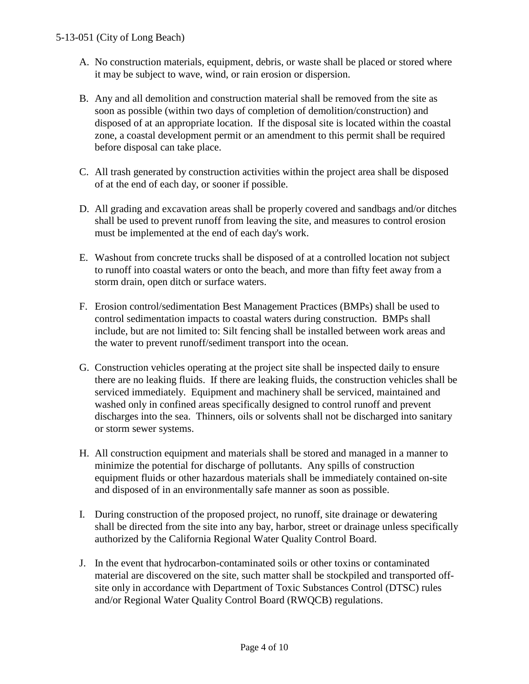- A. No construction materials, equipment, debris, or waste shall be placed or stored where it may be subject to wave, wind, or rain erosion or dispersion.
- B. Any and all demolition and construction material shall be removed from the site as soon as possible (within two days of completion of demolition/construction) and disposed of at an appropriate location. If the disposal site is located within the coastal zone, a coastal development permit or an amendment to this permit shall be required before disposal can take place.
- C. All trash generated by construction activities within the project area shall be disposed of at the end of each day, or sooner if possible.
- D. All grading and excavation areas shall be properly covered and sandbags and/or ditches shall be used to prevent runoff from leaving the site, and measures to control erosion must be implemented at the end of each day's work.
- E. Washout from concrete trucks shall be disposed of at a controlled location not subject to runoff into coastal waters or onto the beach, and more than fifty feet away from a storm drain, open ditch or surface waters.
- F. Erosion control/sedimentation Best Management Practices (BMPs) shall be used to control sedimentation impacts to coastal waters during construction. BMPs shall include, but are not limited to: Silt fencing shall be installed between work areas and the water to prevent runoff/sediment transport into the ocean.
- G. Construction vehicles operating at the project site shall be inspected daily to ensure there are no leaking fluids. If there are leaking fluids, the construction vehicles shall be serviced immediately. Equipment and machinery shall be serviced, maintained and washed only in confined areas specifically designed to control runoff and prevent discharges into the sea. Thinners, oils or solvents shall not be discharged into sanitary or storm sewer systems.
- H. All construction equipment and materials shall be stored and managed in a manner to minimize the potential for discharge of pollutants. Any spills of construction equipment fluids or other hazardous materials shall be immediately contained on-site and disposed of in an environmentally safe manner as soon as possible.
- I. During construction of the proposed project, no runoff, site drainage or dewatering shall be directed from the site into any bay, harbor, street or drainage unless specifically authorized by the California Regional Water Quality Control Board.
- J. In the event that hydrocarbon-contaminated soils or other toxins or contaminated material are discovered on the site, such matter shall be stockpiled and transported offsite only in accordance with Department of Toxic Substances Control (DTSC) rules and/or Regional Water Quality Control Board (RWQCB) regulations.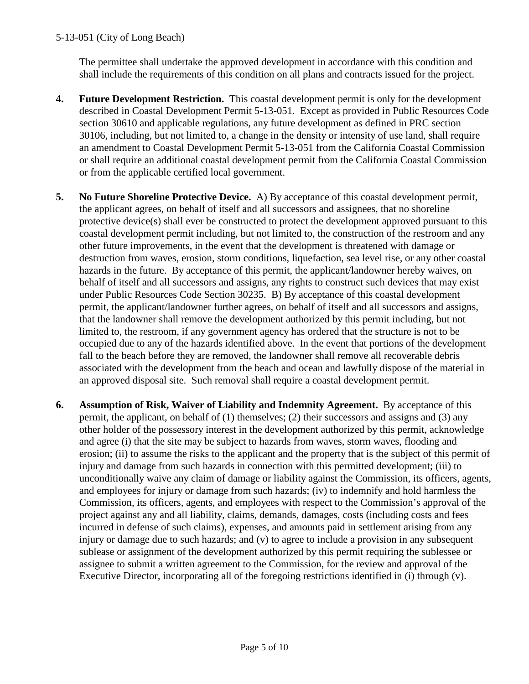#### 5-13-051 (City of Long Beach)

The permittee shall undertake the approved development in accordance with this condition and shall include the requirements of this condition on all plans and contracts issued for the project.

- **4. Future Development Restriction.** This coastal development permit is only for the development described in Coastal Development Permit 5-13-051. Except as provided in Public Resources Code section 30610 and applicable regulations, any future development as defined in PRC section 30106, including, but not limited to, a change in the density or intensity of use land, shall require an amendment to Coastal Development Permit 5-13-051 from the California Coastal Commission or shall require an additional coastal development permit from the California Coastal Commission or from the applicable certified local government.
- **5. No Future Shoreline Protective Device.** A) By acceptance of this coastal development permit, the applicant agrees, on behalf of itself and all successors and assignees, that no shoreline protective device(s) shall ever be constructed to protect the development approved pursuant to this coastal development permit including, but not limited to, the construction of the restroom and any other future improvements, in the event that the development is threatened with damage or destruction from waves, erosion, storm conditions, liquefaction, sea level rise, or any other coastal hazards in the future. By acceptance of this permit, the applicant/landowner hereby waives, on behalf of itself and all successors and assigns, any rights to construct such devices that may exist under Public Resources Code Section 30235. B) By acceptance of this coastal development permit, the applicant/landowner further agrees, on behalf of itself and all successors and assigns, that the landowner shall remove the development authorized by this permit including, but not limited to, the restroom, if any government agency has ordered that the structure is not to be occupied due to any of the hazards identified above. In the event that portions of the development fall to the beach before they are removed, the landowner shall remove all recoverable debris associated with the development from the beach and ocean and lawfully dispose of the material in an approved disposal site. Such removal shall require a coastal development permit.
- **6. Assumption of Risk, Waiver of Liability and Indemnity Agreement.** By acceptance of this permit, the applicant, on behalf of (1) themselves; (2) their successors and assigns and (3) any other holder of the possessory interest in the development authorized by this permit, acknowledge and agree (i) that the site may be subject to hazards from waves, storm waves, flooding and erosion; (ii) to assume the risks to the applicant and the property that is the subject of this permit of injury and damage from such hazards in connection with this permitted development; (iii) to unconditionally waive any claim of damage or liability against the Commission, its officers, agents, and employees for injury or damage from such hazards; (iv) to indemnify and hold harmless the Commission, its officers, agents, and employees with respect to the Commission's approval of the project against any and all liability, claims, demands, damages, costs (including costs and fees incurred in defense of such claims), expenses, and amounts paid in settlement arising from any injury or damage due to such hazards; and (v) to agree to include a provision in any subsequent sublease or assignment of the development authorized by this permit requiring the sublessee or assignee to submit a written agreement to the Commission, for the review and approval of the Executive Director, incorporating all of the foregoing restrictions identified in (i) through (v).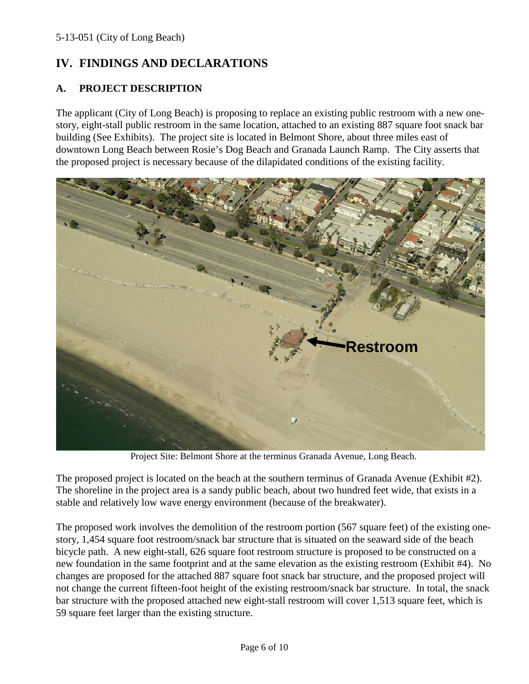# **IV. FINDINGS AND DECLARATIONS**

## **A. PROJECT DESCRIPTION**

The applicant (City of Long Beach) is proposing to replace an existing public restroom with a new onestory, eight-stall public restroom in the same location, attached to an existing 887 square foot snack bar building (See Exhibits). The project site is located in Belmont Shore, about three miles east of downtown Long Beach between Rosie's Dog Beach and Granada Launch Ramp. The City asserts that the proposed project is necessary because of the dilapidated conditions of the existing facility.



Project Site: Belmont Shore at the terminus Granada Avenue, Long Beach.

The proposed project is located on the beach at the southern terminus of Granada Avenue (Exhibit #2). The shoreline in the project area is a sandy public beach, about two hundred feet wide, that exists in a stable and relatively low wave energy environment (because of the breakwater).

The proposed work involves the demolition of the restroom portion (567 square feet) of the existing onestory, 1,454 square foot restroom/snack bar structure that is situated on the seaward side of the beach bicycle path. A new eight-stall, 626 square foot restroom structure is proposed to be constructed on a new foundation in the same footprint and at the same elevation as the existing restroom (Exhibit #4). No changes are proposed for the attached 887 square foot snack bar structure, and the proposed project will not change the current fifteen-foot height of the existing restroom/snack bar structure. In total, the snack bar structure with the proposed attached new eight-stall restroom will cover 1,513 square feet, which is 59 square feet larger than the existing structure.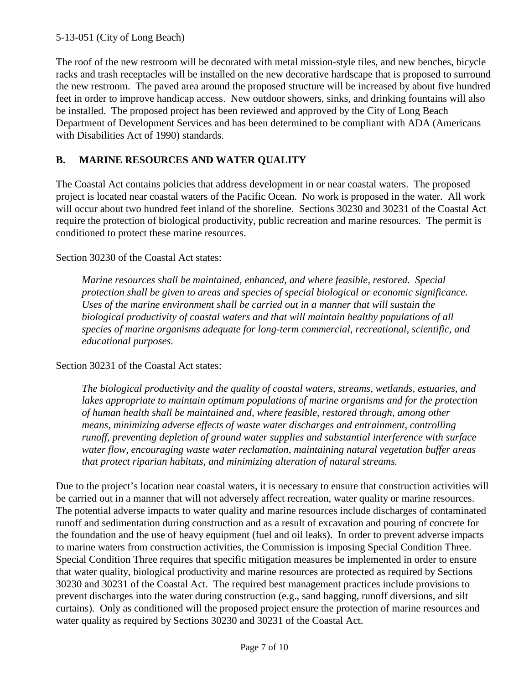## 5-13-051 (City of Long Beach)

The roof of the new restroom will be decorated with metal mission-style tiles, and new benches, bicycle racks and trash receptacles will be installed on the new decorative hardscape that is proposed to surround the new restroom. The paved area around the proposed structure will be increased by about five hundred feet in order to improve handicap access. New outdoor showers, sinks, and drinking fountains will also be installed. The proposed project has been reviewed and approved by the City of Long Beach Department of Development Services and has been determined to be compliant with ADA (Americans with Disabilities Act of 1990) standards.

## **B. MARINE RESOURCES AND WATER QUALITY**

The Coastal Act contains policies that address development in or near coastal waters. The proposed project is located near coastal waters of the Pacific Ocean. No work is proposed in the water. All work will occur about two hundred feet inland of the shoreline. Sections 30230 and 30231 of the Coastal Act require the protection of biological productivity, public recreation and marine resources. The permit is conditioned to protect these marine resources.

## Section 30230 of the Coastal Act states:

*Marine resources shall be maintained, enhanced, and where feasible, restored. Special protection shall be given to areas and species of special biological or economic significance. Uses of the marine environment shall be carried out in a manner that will sustain the biological productivity of coastal waters and that will maintain healthy populations of all species of marine organisms adequate for long-term commercial, recreational, scientific, and educational purposes.*

#### Section 30231 of the Coastal Act states:

*The biological productivity and the quality of coastal waters, streams, wetlands, estuaries, and*  lakes appropriate to maintain optimum populations of marine organisms and for the protection *of human health shall be maintained and, where feasible, restored through, among other means, minimizing adverse effects of waste water discharges and entrainment, controlling runoff, preventing depletion of ground water supplies and substantial interference with surface water flow, encouraging waste water reclamation, maintaining natural vegetation buffer areas that protect riparian habitats, and minimizing alteration of natural streams.*

Due to the project's location near coastal waters, it is necessary to ensure that construction activities will be carried out in a manner that will not adversely affect recreation, water quality or marine resources. The potential adverse impacts to water quality and marine resources include discharges of contaminated runoff and sedimentation during construction and as a result of excavation and pouring of concrete for the foundation and the use of heavy equipment (fuel and oil leaks). In order to prevent adverse impacts to marine waters from construction activities, the Commission is imposing Special Condition Three. Special Condition Three requires that specific mitigation measures be implemented in order to ensure that water quality, biological productivity and marine resources are protected as required by Sections 30230 and 30231 of the Coastal Act. The required best management practices include provisions to prevent discharges into the water during construction (e.g., sand bagging, runoff diversions, and silt curtains). Only as conditioned will the proposed project ensure the protection of marine resources and water quality as required by Sections 30230 and 30231 of the Coastal Act.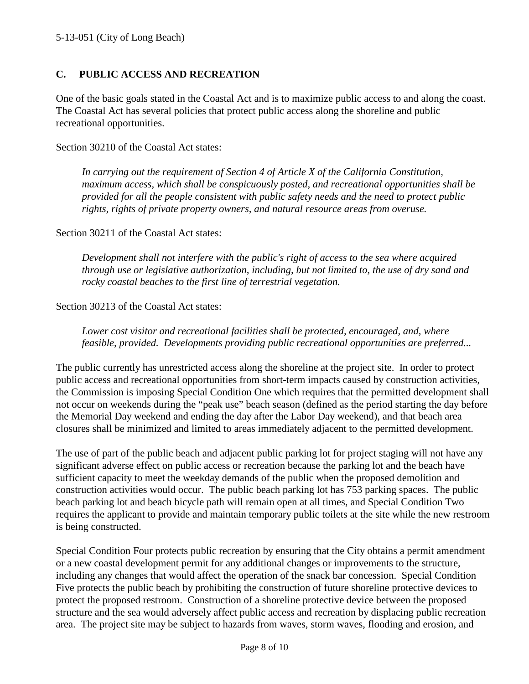## **C. PUBLIC ACCESS AND RECREATION**

One of the basic goals stated in the Coastal Act and is to maximize public access to and along the coast. The Coastal Act has several policies that protect public access along the shoreline and public recreational opportunities.

Section 30210 of the Coastal Act states:

*In carrying out the requirement of Section 4 of Article X of the California Constitution, maximum access, which shall be conspicuously posted, and recreational opportunities shall be provided for all the people consistent with public safety needs and the need to protect public rights, rights of private property owners, and natural resource areas from overuse.*

Section 30211 of the Coastal Act states:

*Development shall not interfere with the public's right of access to the sea where acquired through use or legislative authorization, including, but not limited to, the use of dry sand and rocky coastal beaches to the first line of terrestrial vegetation.*

#### Section 30213 of the Coastal Act states:

*Lower cost visitor and recreational facilities shall be protected, encouraged, and, where feasible, provided. Developments providing public recreational opportunities are preferred...*

The public currently has unrestricted access along the shoreline at the project site. In order to protect public access and recreational opportunities from short-term impacts caused by construction activities, the Commission is imposing Special Condition One which requires that the permitted development shall not occur on weekends during the "peak use" beach season (defined as the period starting the day before the Memorial Day weekend and ending the day after the Labor Day weekend), and that beach area closures shall be minimized and limited to areas immediately adjacent to the permitted development.

The use of part of the public beach and adjacent public parking lot for project staging will not have any significant adverse effect on public access or recreation because the parking lot and the beach have sufficient capacity to meet the weekday demands of the public when the proposed demolition and construction activities would occur. The public beach parking lot has 753 parking spaces. The public beach parking lot and beach bicycle path will remain open at all times, and Special Condition Two requires the applicant to provide and maintain temporary public toilets at the site while the new restroom is being constructed.

Special Condition Four protects public recreation by ensuring that the City obtains a permit amendment or a new coastal development permit for any additional changes or improvements to the structure, including any changes that would affect the operation of the snack bar concession. Special Condition Five protects the public beach by prohibiting the construction of future shoreline protective devices to protect the proposed restroom. Construction of a shoreline protective device between the proposed structure and the sea would adversely affect public access and recreation by displacing public recreation area. The project site may be subject to hazards from waves, storm waves, flooding and erosion, and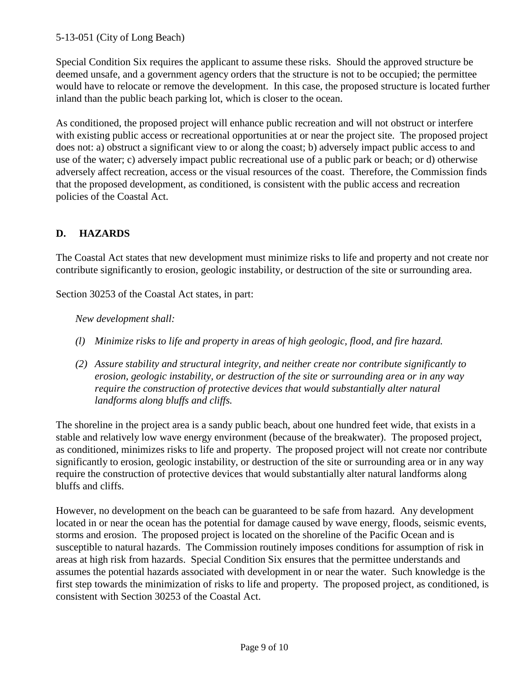## 5-13-051 (City of Long Beach)

Special Condition Six requires the applicant to assume these risks. Should the approved structure be deemed unsafe, and a government agency orders that the structure is not to be occupied; the permittee would have to relocate or remove the development. In this case, the proposed structure is located further inland than the public beach parking lot, which is closer to the ocean.

As conditioned, the proposed project will enhance public recreation and will not obstruct or interfere with existing public access or recreational opportunities at or near the project site. The proposed project does not: a) obstruct a significant view to or along the coast; b) adversely impact public access to and use of the water; c) adversely impact public recreational use of a public park or beach; or d) otherwise adversely affect recreation, access or the visual resources of the coast. Therefore, the Commission finds that the proposed development, as conditioned, is consistent with the public access and recreation policies of the Coastal Act.

# **D. HAZARDS**

The Coastal Act states that new development must minimize risks to life and property and not create nor contribute significantly to erosion, geologic instability, or destruction of the site or surrounding area.

Section 30253 of the Coastal Act states, in part:

*New development shall:*

- *(l) Minimize risks to life and property in areas of high geologic, flood, and fire hazard.*
- *(2) Assure stability and structural integrity, and neither create nor contribute significantly to erosion, geologic instability, or destruction of the site or surrounding area or in any way require the construction of protective devices that would substantially alter natural landforms along bluffs and cliffs.*

The shoreline in the project area is a sandy public beach, about one hundred feet wide, that exists in a stable and relatively low wave energy environment (because of the breakwater). The proposed project, as conditioned, minimizes risks to life and property. The proposed project will not create nor contribute significantly to erosion, geologic instability, or destruction of the site or surrounding area or in any way require the construction of protective devices that would substantially alter natural landforms along bluffs and cliffs.

However, no development on the beach can be guaranteed to be safe from hazard. Any development located in or near the ocean has the potential for damage caused by wave energy, floods, seismic events, storms and erosion. The proposed project is located on the shoreline of the Pacific Ocean and is susceptible to natural hazards. The Commission routinely imposes conditions for assumption of risk in areas at high risk from hazards. Special Condition Six ensures that the permittee understands and assumes the potential hazards associated with development in or near the water. Such knowledge is the first step towards the minimization of risks to life and property. The proposed project, as conditioned, is consistent with Section 30253 of the Coastal Act.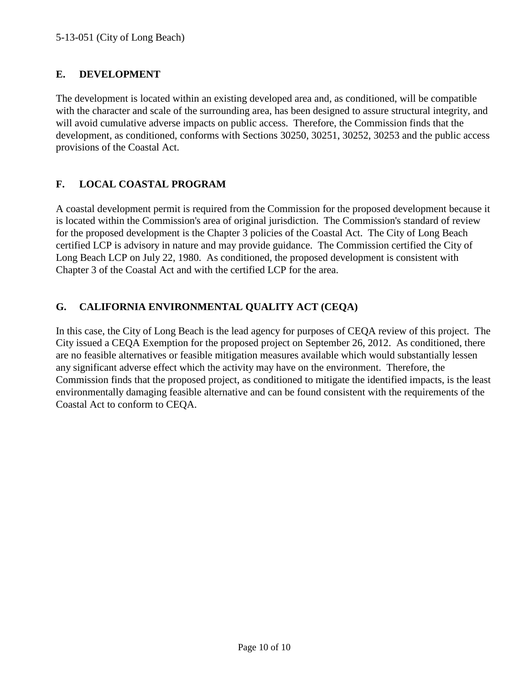## **E. DEVELOPMENT**

The development is located within an existing developed area and, as conditioned, will be compatible with the character and scale of the surrounding area, has been designed to assure structural integrity, and will avoid cumulative adverse impacts on public access. Therefore, the Commission finds that the development, as conditioned, conforms with Sections 30250, 30251, 30252, 30253 and the public access provisions of the Coastal Act.

## **F. LOCAL COASTAL PROGRAM**

A coastal development permit is required from the Commission for the proposed development because it is located within the Commission's area of original jurisdiction. The Commission's standard of review for the proposed development is the Chapter 3 policies of the Coastal Act. The City of Long Beach certified LCP is advisory in nature and may provide guidance. The Commission certified the City of Long Beach LCP on July 22, 1980. As conditioned, the proposed development is consistent with Chapter 3 of the Coastal Act and with the certified LCP for the area.

# **G. CALIFORNIA ENVIRONMENTAL QUALITY ACT (CEQA)**

In this case, the City of Long Beach is the lead agency for purposes of CEQA review of this project. The City issued a CEQA Exemption for the proposed project on September 26, 2012. As conditioned, there are no feasible alternatives or feasible mitigation measures available which would substantially lessen any significant adverse effect which the activity may have on the environment. Therefore, the Commission finds that the proposed project, as conditioned to mitigate the identified impacts, is the least environmentally damaging feasible alternative and can be found consistent with the requirements of the Coastal Act to conform to CEQA.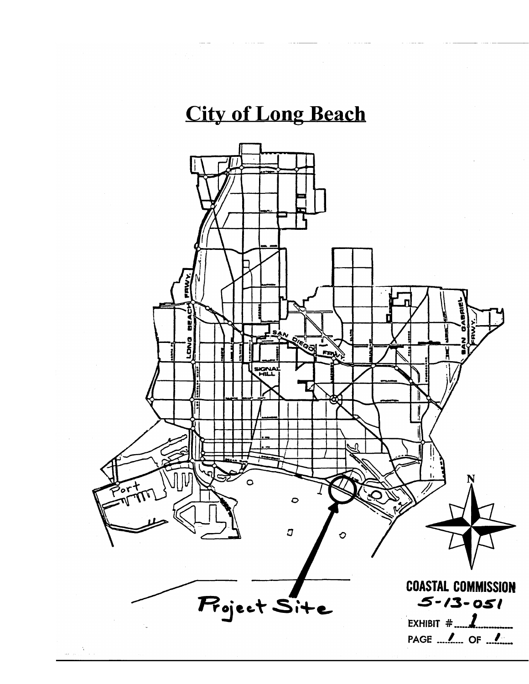# **City of Long Beach**

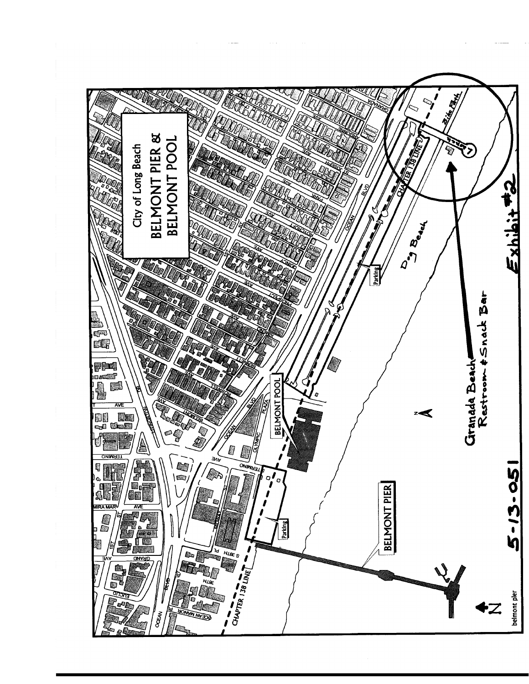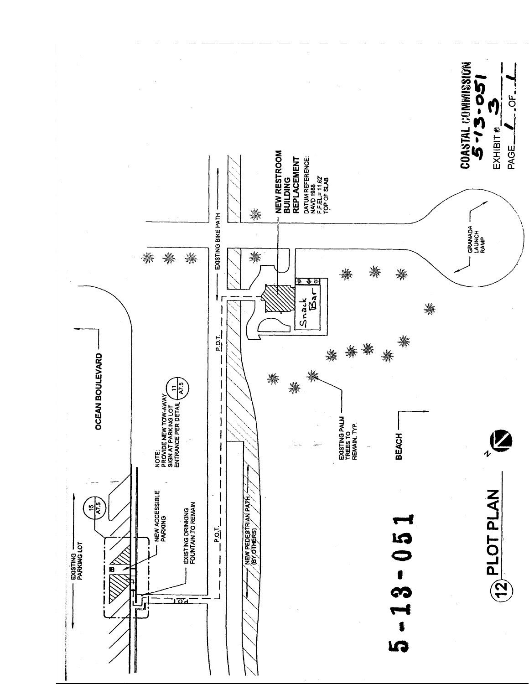